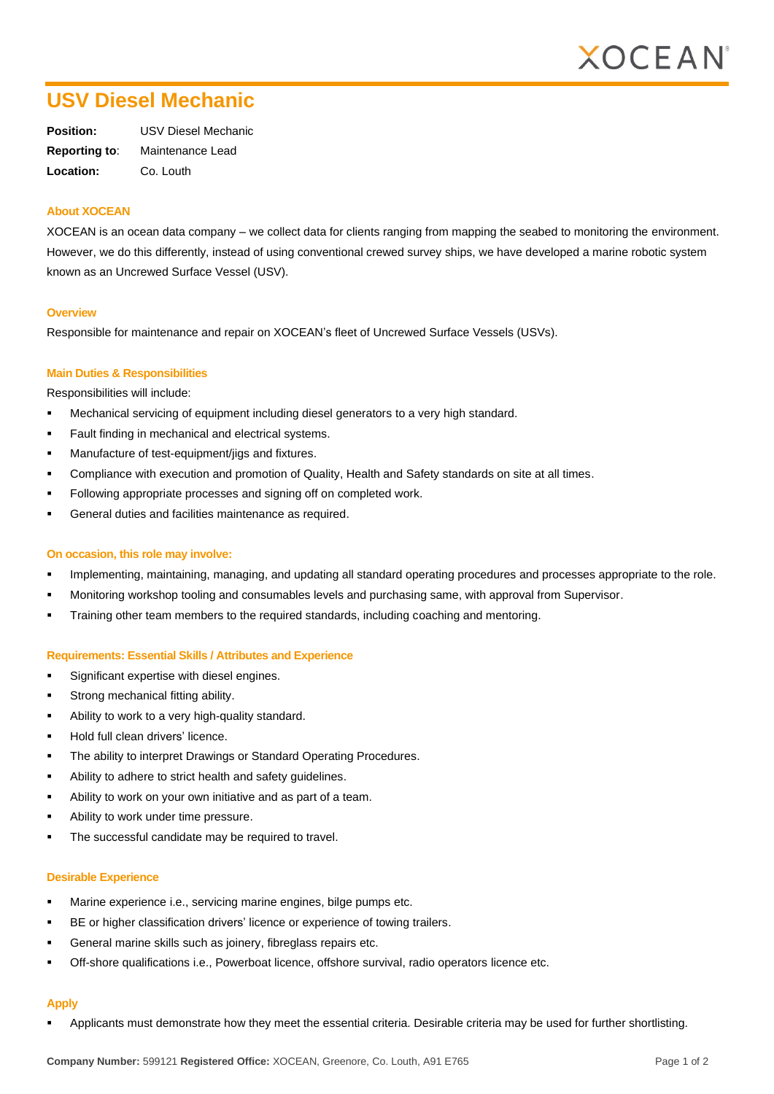

# **USV Diesel Mechanic**

| Position:            | USV Diesel Mechanic |
|----------------------|---------------------|
| <b>Reporting to:</b> | Maintenance Lead    |
| Location:            | Co. Louth           |

### **About XOCEAN**

XOCEAN is an ocean data company – we collect data for clients ranging from mapping the seabed to monitoring the environment. However, we do this differently, instead of using conventional crewed survey ships, we have developed a marine robotic system known as an Uncrewed Surface Vessel (USV).

#### **Overview**

Responsible for maintenance and repair on XOCEAN's fleet of Uncrewed Surface Vessels (USVs).

## **Main Duties & Responsibilities**

Responsibilities will include:

- Mechanical servicing of equipment including diesel generators to a very high standard.
- Fault finding in mechanical and electrical systems.
- Manufacture of test-equipment/jigs and fixtures.
- Compliance with execution and promotion of Quality, Health and Safety standards on site at all times.
- Following appropriate processes and signing off on completed work.
- General duties and facilities maintenance as required.

#### **On occasion, this role may involve:**

- Implementing, maintaining, managing, and updating all standard operating procedures and processes appropriate to the role.
- Monitoring workshop tooling and consumables levels and purchasing same, with approval from Supervisor.
- Training other team members to the required standards, including coaching and mentoring.

#### **Requirements: Essential Skills / Attributes and Experience**

- Significant expertise with diesel engines.
- Strong mechanical fitting ability.
- Ability to work to a very high-quality standard.
- Hold full clean drivers' licence.
- The ability to interpret Drawings or Standard Operating Procedures.
- Ability to adhere to strict health and safety quidelines.
- Ability to work on your own initiative and as part of a team.
- Ability to work under time pressure.
- The successful candidate may be required to travel.

#### **Desirable Experience**

- Marine experience i.e., servicing marine engines, bilge pumps etc.
- BE or higher classification drivers' licence or experience of towing trailers.
- General marine skills such as joinery, fibreglass repairs etc.
- Off-shore qualifications i.e., Powerboat licence, offshore survival, radio operators licence etc.

### **Apply**

Applicants must demonstrate how they meet the essential criteria. Desirable criteria may be used for further shortlisting.